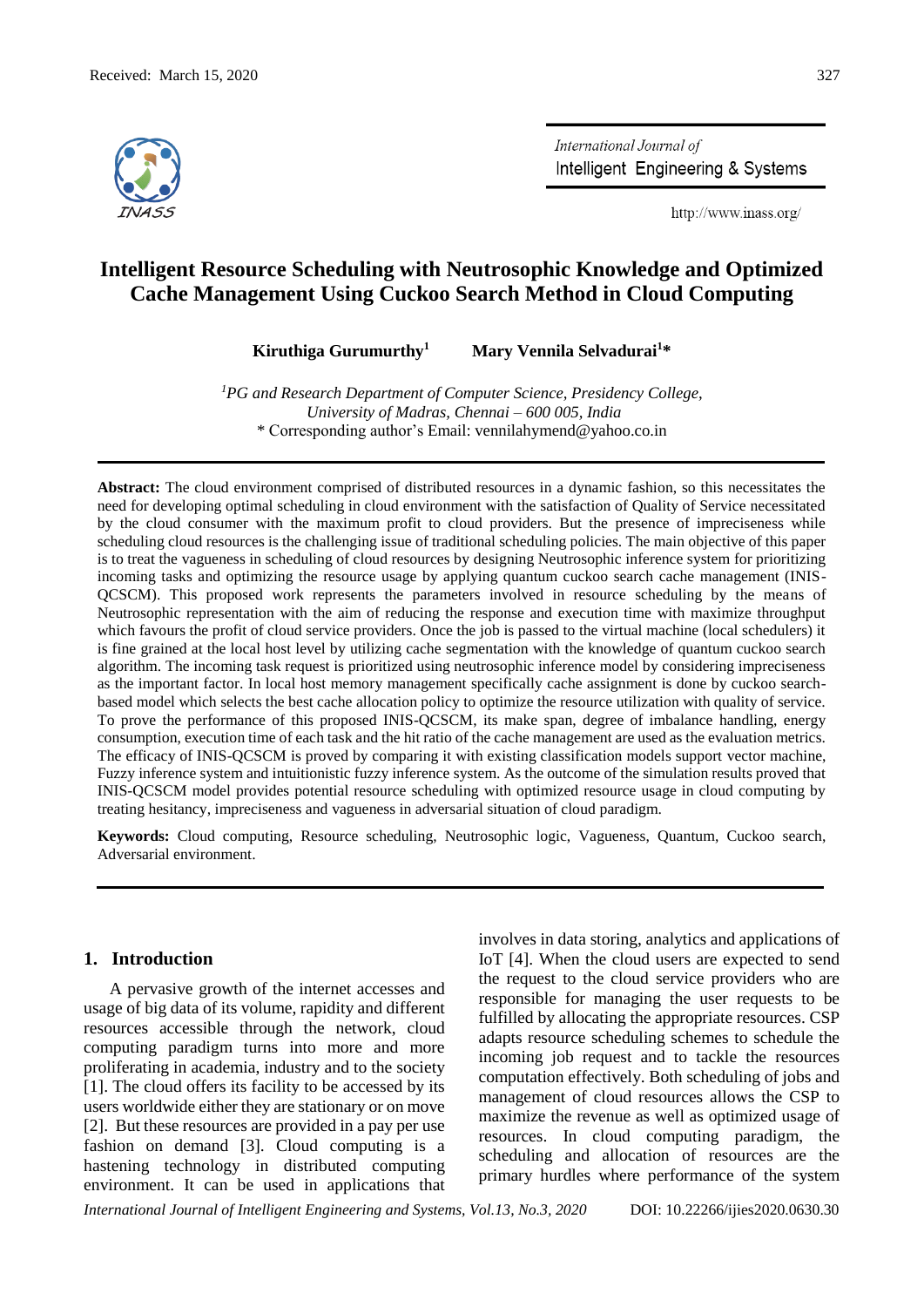

International Journal of Intelligent Engineering & Systems

http://www.inass.org/

# **Intelligent Resource Scheduling with Neutrosophic Knowledge and Optimized Cache Management Using Cuckoo Search Method in Cloud Computing**

**Kiruthiga Gurumurthy<sup>1</sup> Mary Vennila Selvadurai<sup>1</sup>\***

*<sup>1</sup>PG and Research Department of Computer Science, Presidency College, University of Madras, Chennai – 600 005, India* \* Corresponding author's Email: vennilahymend@yahoo.co.in

**Abstract:** The cloud environment comprised of distributed resources in a dynamic fashion, so this necessitates the need for developing optimal scheduling in cloud environment with the satisfaction of Quality of Service necessitated by the cloud consumer with the maximum profit to cloud providers. But the presence of impreciseness while scheduling cloud resources is the challenging issue of traditional scheduling policies. The main objective of this paper is to treat the vagueness in scheduling of cloud resources by designing Neutrosophic inference system for prioritizing incoming tasks and optimizing the resource usage by applying quantum cuckoo search cache management (INIS-QCSCM). This proposed work represents the parameters involved in resource scheduling by the means of Neutrosophic representation with the aim of reducing the response and execution time with maximize throughput which favours the profit of cloud service providers. Once the job is passed to the virtual machine (local schedulers) it is fine grained at the local host level by utilizing cache segmentation with the knowledge of quantum cuckoo search algorithm. The incoming task request is prioritized using neutrosophic inference model by considering impreciseness as the important factor. In local host memory management specifically cache assignment is done by cuckoo searchbased model which selects the best cache allocation policy to optimize the resource utilization with quality of service. To prove the performance of this proposed INIS-QCSCM, its make span, degree of imbalance handling, energy consumption, execution time of each task and the hit ratio of the cache management are used as the evaluation metrics. The efficacy of INIS-QCSCM is proved by comparing it with existing classification models support vector machine, Fuzzy inference system and intuitionistic fuzzy inference system. As the outcome of the simulation results proved that INIS-QCSCM model provides potential resource scheduling with optimized resource usage in cloud computing by treating hesitancy, impreciseness and vagueness in adversarial situation of cloud paradigm.

**Keywords:** Cloud computing, Resource scheduling, Neutrosophic logic, Vagueness, Quantum, Cuckoo search, Adversarial environment.

# **1. Introduction**

A pervasive growth of the internet accesses and usage of big data of its volume, rapidity and different resources accessible through the network, cloud computing paradigm turns into more and more proliferating in academia, industry and to the society [1]. The cloud offers its facility to be accessed by its users worldwide either they are stationary or on move [2]. But these resources are provided in a pay per use fashion on demand [3]. Cloud computing is a hastening technology in distributed computing environment. It can be used in applications that

involves in data storing, analytics and applications of IoT [4]. When the cloud users are expected to send the request to the cloud service providers who are responsible for managing the user requests to be fulfilled by allocating the appropriate resources. CSP adapts resource scheduling schemes to schedule the incoming job request and to tackle the resources computation effectively. Both scheduling of jobs and management of cloud resources allows the CSP to maximize the revenue as well as optimized usage of resources. In cloud computing paradigm, the scheduling and allocation of resources are the primary hurdles where performance of the system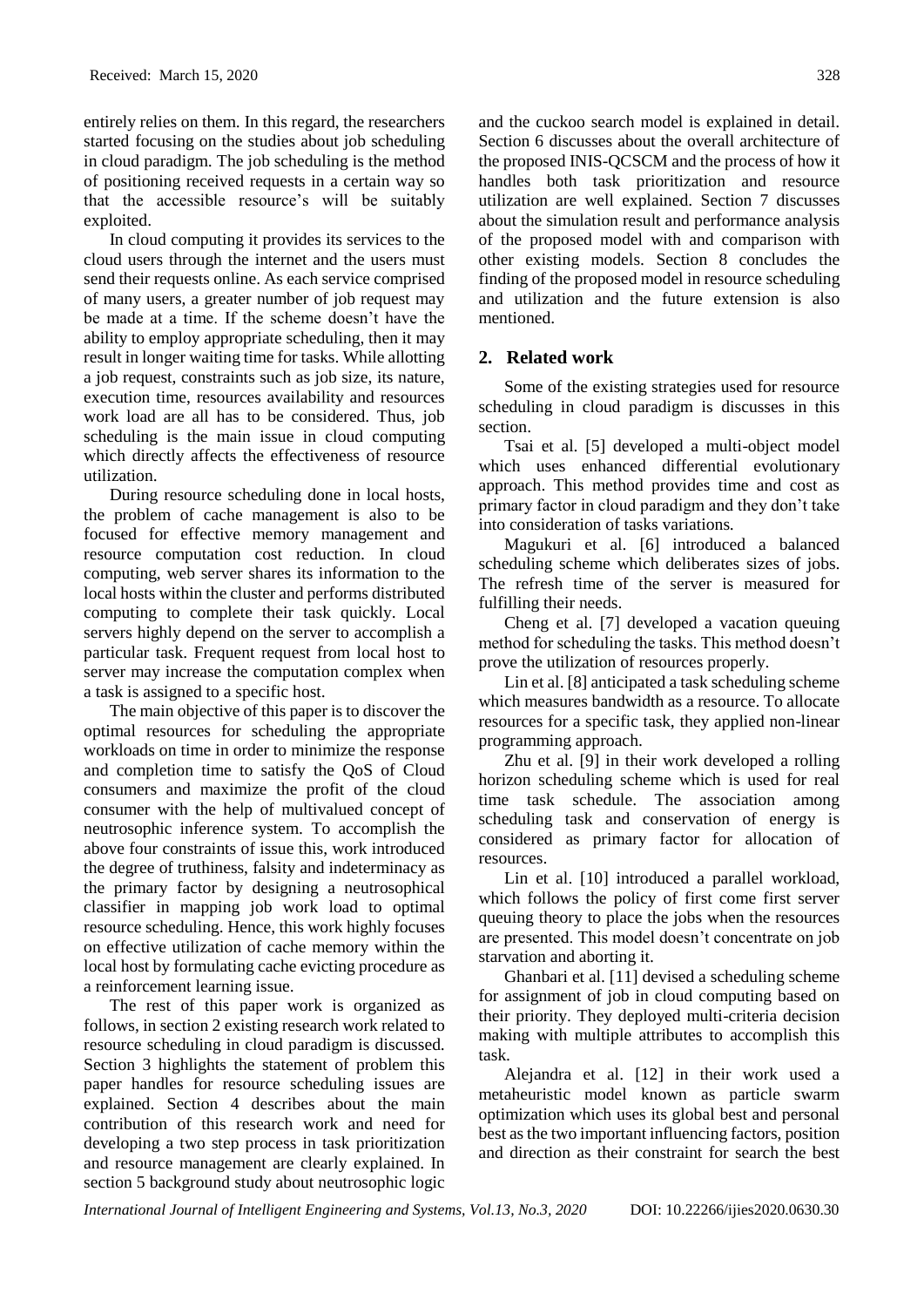entirely relies on them. In this regard, the researchers started focusing on the studies about job scheduling in cloud paradigm. The job scheduling is the method of positioning received requests in a certain way so that the accessible resource's will be suitably exploited.

In cloud computing it provides its services to the cloud users through the internet and the users must send their requests online. As each service comprised of many users, a greater number of job request may be made at a time. If the scheme doesn't have the ability to employ appropriate scheduling, then it may result in longer waiting time for tasks. While allotting a job request, constraints such as job size, its nature, execution time, resources availability and resources work load are all has to be considered. Thus, job scheduling is the main issue in cloud computing which directly affects the effectiveness of resource utilization.

During resource scheduling done in local hosts, the problem of cache management is also to be focused for effective memory management and resource computation cost reduction. In cloud computing, web server shares its information to the local hosts within the cluster and performs distributed computing to complete their task quickly. Local servers highly depend on the server to accomplish a particular task. Frequent request from local host to server may increase the computation complex when a task is assigned to a specific host.

The main objective of this paper is to discover the optimal resources for scheduling the appropriate workloads on time in order to minimize the response and completion time to satisfy the QoS of Cloud consumers and maximize the profit of the cloud consumer with the help of multivalued concept of neutrosophic inference system. To accomplish the above four constraints of issue this, work introduced the degree of truthiness, falsity and indeterminacy as the primary factor by designing a neutrosophical classifier in mapping job work load to optimal resource scheduling. Hence, this work highly focuses on effective utilization of cache memory within the local host by formulating cache evicting procedure as a reinforcement learning issue.

The rest of this paper work is organized as follows, in section 2 existing research work related to resource scheduling in cloud paradigm is discussed. Section 3 highlights the statement of problem this paper handles for resource scheduling issues are explained. Section 4 describes about the main contribution of this research work and need for developing a two step process in task prioritization and resource management are clearly explained. In section 5 background study about neutrosophic logic

and the cuckoo search model is explained in detail. Section 6 discusses about the overall architecture of the proposed INIS-QCSCM and the process of how it handles both task prioritization and resource utilization are well explained. Section 7 discusses about the simulation result and performance analysis of the proposed model with and comparison with other existing models. Section 8 concludes the finding of the proposed model in resource scheduling and utilization and the future extension is also mentioned.

# **2. Related work**

Some of the existing strategies used for resource scheduling in cloud paradigm is discusses in this section.

Tsai et al. [5] developed a multi-object model which uses enhanced differential evolutionary approach. This method provides time and cost as primary factor in cloud paradigm and they don't take into consideration of tasks variations.

Magukuri et al. [6] introduced a balanced scheduling scheme which deliberates sizes of jobs. The refresh time of the server is measured for fulfilling their needs.

Cheng et al. [7] developed a vacation queuing method for scheduling the tasks. This method doesn't prove the utilization of resources properly.

Lin et al. [8] anticipated a task scheduling scheme which measures bandwidth as a resource. To allocate resources for a specific task, they applied non-linear programming approach.

Zhu et al. [9] in their work developed a rolling horizon scheduling scheme which is used for real time task schedule. The association among scheduling task and conservation of energy is considered as primary factor for allocation of resources.

Lin et al. [10] introduced a parallel workload, which follows the policy of first come first server queuing theory to place the jobs when the resources are presented. This model doesn't concentrate on job starvation and aborting it.

Ghanbari et al. [11] devised a scheduling scheme for assignment of job in cloud computing based on their priority. They deployed multi-criteria decision making with multiple attributes to accomplish this task.

Alejandra et al. [12] in their work used a metaheuristic model known as particle swarm optimization which uses its global best and personal best as the two important influencing factors, position and direction as their constraint for search the best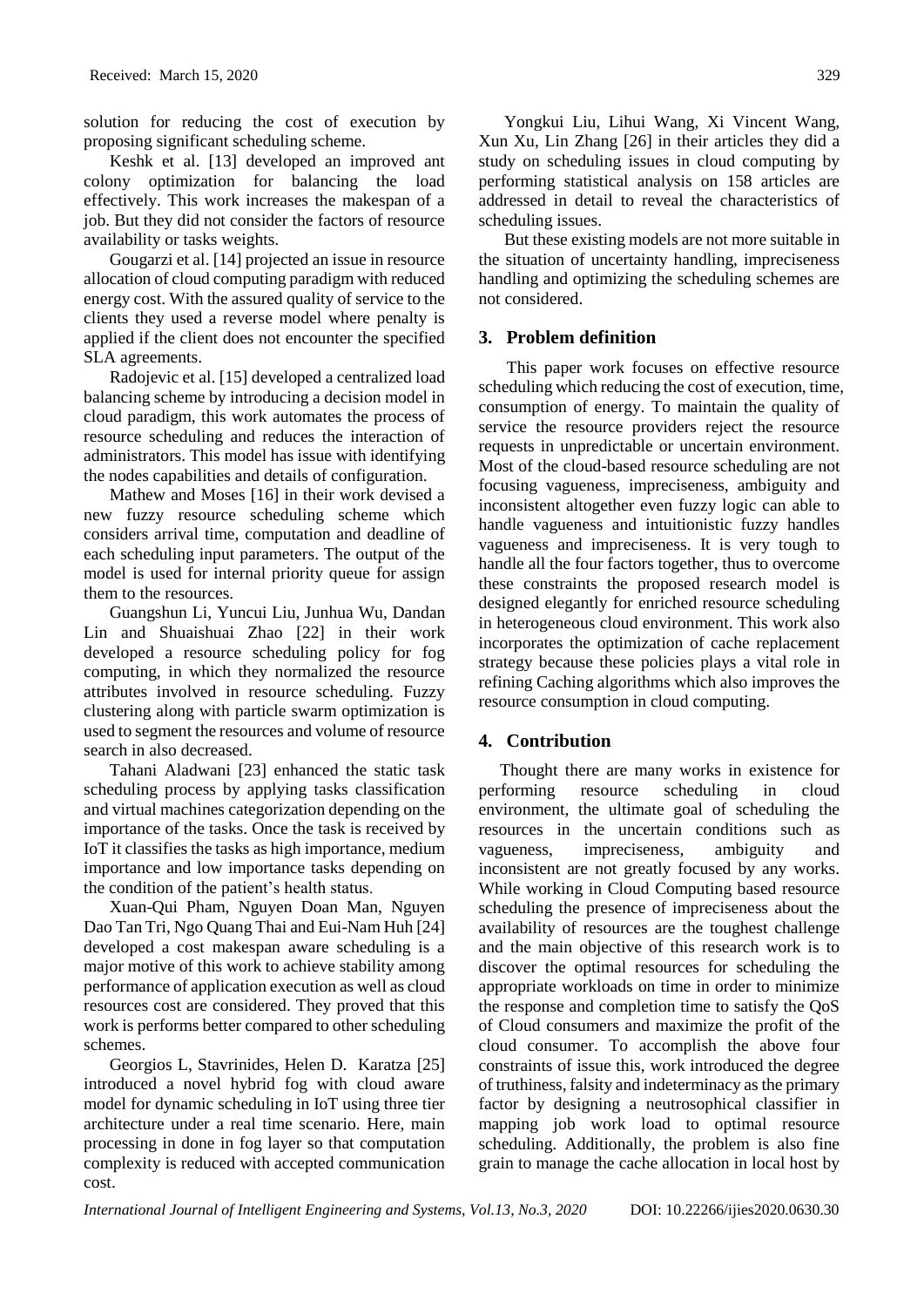solution for reducing the cost of execution by proposing significant scheduling scheme.

Keshk et al. [13] developed an improved ant colony optimization for balancing the load effectively. This work increases the makespan of a job. But they did not consider the factors of resource availability or tasks weights.

Gougarzi et al. [14] projected an issue in resource allocation of cloud computing paradigm with reduced energy cost. With the assured quality of service to the clients they used a reverse model where penalty is applied if the client does not encounter the specified SLA agreements.

Radojevic et al. [15] developed a centralized load balancing scheme by introducing a decision model in cloud paradigm, this work automates the process of resource scheduling and reduces the interaction of administrators. This model has issue with identifying the nodes capabilities and details of configuration.

Mathew and Moses [16] in their work devised a new fuzzy resource scheduling scheme which considers arrival time, computation and deadline of each scheduling input parameters. The output of the model is used for internal priority queue for assign them to the resources.

Guangshun Li, Yuncui Liu, Junhua Wu, Dandan Lin and Shuaishuai Zhao [22] in their work developed a resource scheduling policy for fog computing, in which they normalized the resource attributes involved in resource scheduling. Fuzzy clustering along with particle swarm optimization is used to segment the resources and volume of resource search in also decreased.

Tahani Aladwani [23] enhanced the static task scheduling process by applying tasks classification and virtual machines categorization depending on the importance of the tasks. Once the task is received by IoT it classifies the tasks as high importance, medium importance and low importance tasks depending on the condition of the patient's health status.

Xuan-Qui Pham, Nguyen Doan Man, Nguyen Dao Tan Tri, Ngo Quang Thai and Eui-Nam Huh [24] developed a cost makespan aware scheduling is a major motive of this work to achieve stability among performance of application execution as well as cloud resources cost are considered. They proved that this work is performs better compared to other scheduling schemes.

Georgios L, Stavrinides, Helen D. Karatza [25] introduced a novel hybrid fog with cloud aware model for dynamic scheduling in IoT using three tier architecture under a real time scenario. Here, main processing in done in fog layer so that computation complexity is reduced with accepted communication cost.

Yongkui Liu, Lihui Wang, Xi Vincent Wang, Xun Xu, Lin Zhang [26] in their articles they did a study on scheduling issues in cloud computing by performing statistical analysis on 158 articles are addressed in detail to reveal the characteristics of scheduling issues.

But these existing models are not more suitable in the situation of uncertainty handling, impreciseness handling and optimizing the scheduling schemes are not considered.

# **3. Problem definition**

This paper work focuses on effective resource scheduling which reducing the cost of execution, time, consumption of energy. To maintain the quality of service the resource providers reject the resource requests in unpredictable or uncertain environment. Most of the cloud-based resource scheduling are not focusing vagueness, impreciseness, ambiguity and inconsistent altogether even fuzzy logic can able to handle vagueness and intuitionistic fuzzy handles vagueness and impreciseness. It is very tough to handle all the four factors together, thus to overcome these constraints the proposed research model is designed elegantly for enriched resource scheduling in heterogeneous cloud environment. This work also incorporates the optimization of cache replacement strategy because these policies plays a vital role in refining Caching algorithms which also improves the resource consumption in cloud computing.

# **4. Contribution**

 Thought there are many works in existence for performing resource scheduling in cloud environment, the ultimate goal of scheduling the resources in the uncertain conditions such as vagueness, impreciseness, ambiguity and inconsistent are not greatly focused by any works. While working in Cloud Computing based resource scheduling the presence of impreciseness about the availability of resources are the toughest challenge and the main objective of this research work is to discover the optimal resources for scheduling the appropriate workloads on time in order to minimize the response and completion time to satisfy the QoS of Cloud consumers and maximize the profit of the cloud consumer. To accomplish the above four constraints of issue this, work introduced the degree of truthiness, falsity and indeterminacy as the primary factor by designing a neutrosophical classifier in mapping job work load to optimal resource scheduling. Additionally, the problem is also fine grain to manage the cache allocation in local host by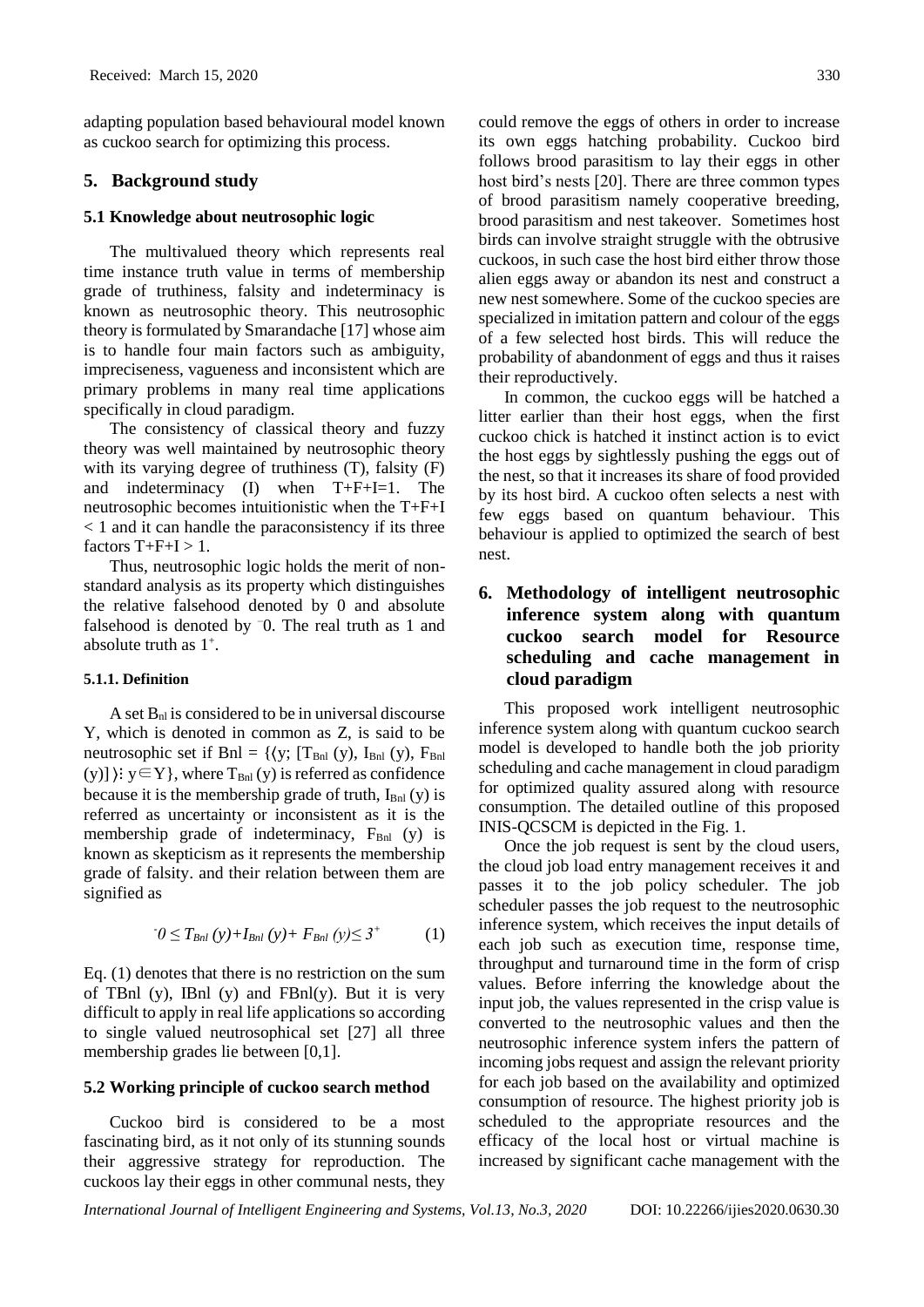adapting population based behavioural model known as cuckoo search for optimizing this process.

## **5. Background study**

#### **5.1 Knowledge about neutrosophic logic**

 The multivalued theory which represents real time instance truth value in terms of membership grade of truthiness, falsity and indeterminacy is known as neutrosophic theory. This neutrosophic theory is formulated by Smarandache [17] whose aim is to handle four main factors such as ambiguity, impreciseness, vagueness and inconsistent which are primary problems in many real time applications specifically in cloud paradigm.

The consistency of classical theory and fuzzy theory was well maintained by neutrosophic theory with its varying degree of truthiness (T), falsity (F) and indeterminacy (I) when T+F+I=1. The neutrosophic becomes intuitionistic when the T+F+I < 1 and it can handle the paraconsistency if its three factors  $T+F+I > 1$ .

Thus, neutrosophic logic holds the merit of nonstandard analysis as its property which distinguishes the relative falsehood denoted by 0 and absolute falsehood is denoted by  $\overline{0}$ . The real truth as 1 and absolute truth as 1<sup>+</sup> .

#### **5.1.1. Definition**

A set  $B_{nl}$  is considered to be in universal discourse Y, which is denoted in common as Z, is said to be neutrosophic set if Bnl = { $(y; [T_{Bnl}(y), I_{Bnl}(y), F_{Bnl}]$ (y)]  $\{y \in Y\}$ , where  $T_{\text{Bnl}}(y)$  is referred as confidence because it is the membership grade of truth,  $I<sub>Bnl</sub>$  (y) is referred as uncertainty or inconsistent as it is the membership grade of indeterminacy,  $F<sub>Bnl</sub>$  (y) is known as skepticism as it represents the membership grade of falsity. and their relation between them are signified as

$$
0 \le T_{Bnl}(y) + I_{Bnl}(y) + F_{Bnl}(y) \le 3^{+} \tag{1}
$$

Eq. (1) denotes that there is no restriction on the sum of TBnl (y), IBnl (y) and FBnl(y). But it is very difficult to apply in real life applications so according to single valued neutrosophical set [27] all three membership grades lie between [0,1].

#### **5.2 Working principle of cuckoo search method**

Cuckoo bird is considered to be a most fascinating bird, as it not only of its stunning sounds their aggressive strategy for reproduction. The cuckoos lay their eggs in other communal nests, they

could remove the eggs of others in order to increase its own eggs hatching probability. Cuckoo bird follows brood parasitism to lay their eggs in other host bird's nests [20]. There are three common types of brood parasitism namely cooperative breeding, brood parasitism and nest takeover. Sometimes host birds can involve straight struggle with the obtrusive cuckoos, in such case the host bird either throw those alien eggs away or abandon its nest and construct a new nest somewhere. Some of the cuckoo species are specialized in imitation pattern and colour of the eggs of a few selected host birds. This will reduce the probability of abandonment of eggs and thus it raises their reproductively.

In common, the cuckoo eggs will be hatched a litter earlier than their host eggs, when the first cuckoo chick is hatched it instinct action is to evict the host eggs by sightlessly pushing the eggs out of the nest, so that it increases its share of food provided by its host bird. A cuckoo often selects a nest with few eggs based on quantum behaviour. This behaviour is applied to optimized the search of best nest.

# **6. Methodology of intelligent neutrosophic inference system along with quantum cuckoo search model for Resource scheduling and cache management in cloud paradigm**

This proposed work intelligent neutrosophic inference system along with quantum cuckoo search model is developed to handle both the job priority scheduling and cache management in cloud paradigm for optimized quality assured along with resource consumption. The detailed outline of this proposed INIS-QCSCM is depicted in the Fig. 1.

Once the job request is sent by the cloud users, the cloud job load entry management receives it and passes it to the job policy scheduler. The job scheduler passes the job request to the neutrosophic inference system, which receives the input details of each job such as execution time, response time, throughput and turnaround time in the form of crisp values. Before inferring the knowledge about the input job, the values represented in the crisp value is converted to the neutrosophic values and then the neutrosophic inference system infers the pattern of incoming jobs request and assign the relevant priority for each job based on the availability and optimized consumption of resource. The highest priority job is scheduled to the appropriate resources and the efficacy of the local host or virtual machine is increased by significant cache management with the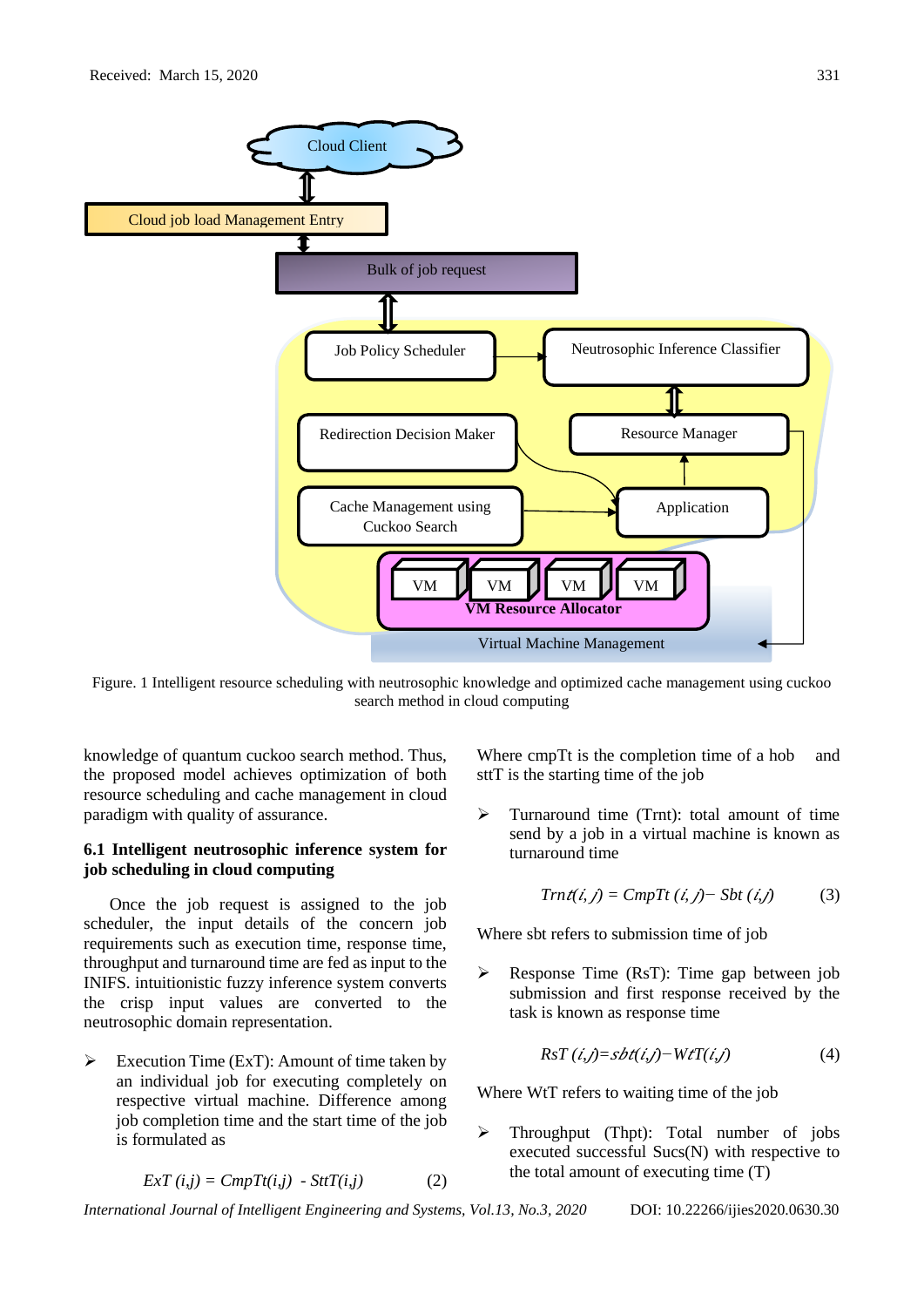

Figure. 1 Intelligent resource scheduling with neutrosophic knowledge and optimized cache management using cuckoo search method in cloud computing

knowledge of quantum cuckoo search method. Thus, the proposed model achieves optimization of both resource scheduling and cache management in cloud paradigm with quality of assurance.

# **6.1 Intelligent neutrosophic inference system for job scheduling in cloud computing**

Once the job request is assigned to the job scheduler, the input details of the concern job requirements such as execution time, response time, throughput and turnaround time are fed as input to the INIFS. intuitionistic fuzzy inference system converts the crisp input values are converted to the neutrosophic domain representation.

 $\triangleright$  Execution Time (ExT): Amount of time taken by an individual job for executing completely on respective virtual machine. Difference among job completion time and the start time of the job is formulated as

$$
ExT(i,j) = CmpT(t,j) - SttT(i,j)
$$
 (2)

Where cmpTt is the completion time of a hob and sttT is the starting time of the job

➢ Turnaround time (Trnt): total amount of time send by a job in a virtual machine is known as turnaround time

$$
Trn\, \dot{t}(\dot{i},j) = CmpTt\, (\dot{i},j) - Sbt\, (\dot{i},j) \tag{3}
$$

Where sbt refers to submission time of job

➢ Response Time (RsT): Time gap between job submission and first response received by the task is known as response time

$$
RsT (i,j)=sbt(i,j)-WtT(i,j)
$$
\n(4)

Where WtT refers to waiting time of the job

➢ Throughput (Thpt): Total number of jobs executed successful Sucs(N) with respective to the total amount of executing time (T)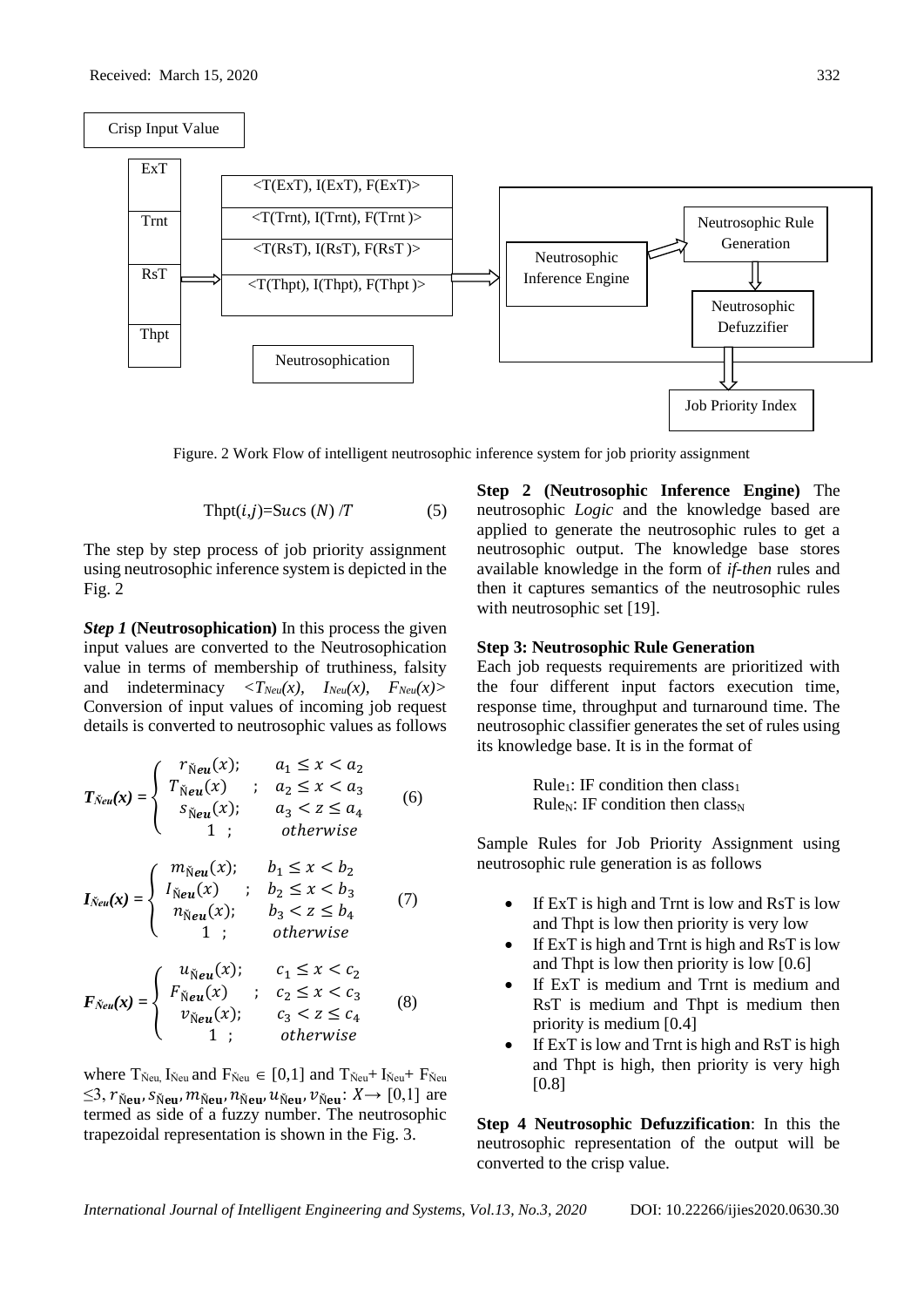

Figure. 2 Work Flow of intelligent neutrosophic inference system for job priority assignment

$$
Thpt(i,j)=Sucs (N)/T
$$
 (5)

The step by step process of job priority assignment using neutrosophic inference system is depicted in the Fig. 2

*Step 1* (Neutrosophication) In this process the given input values are converted to the Neutrosophication value in terms of membership of truthiness, falsity and indeterminacy  $\langle T_{\text{Neu}}(x), \quad I_{\text{Neu}}(x), \quad F_{\text{Neu}}(x) \rangle$ Conversion of input values of incoming job request details is converted to neutrosophic values as follows

$$
T_{\text{New}}(x) = \begin{cases} r_{\text{New}}(x); & a_1 \leq x < a_2 \\ T_{\text{New}}(x) & ; a_2 \leq x < a_3 \\ s_{\text{New}}(x); & a_3 < z \leq a_4 \\ 1 & ; \qquad \text{otherwise} \end{cases} \tag{6}
$$

$$
I_{\text{Neu}}(x) = \begin{cases} m_{\text{Neu}}(x); & b_1 \leq x < b_2 \\ I_{\text{Neu}}(x) & ; & b_2 \leq x < b_3 \\ n_{\text{Neu}}(x); & b_3 < z \leq b_4 \\ 1 & ; & \text{otherwise} \end{cases} \tag{7}
$$

$$
F_{\tilde{N}eu}(x) = \begin{cases} u_{\tilde{N}eu}(x); & c_1 \leq x < c_2 \\ F_{\tilde{N}eu}(x) & ; & c_2 \leq x < c_3 \\ v_{\tilde{N}eu}(x); & c_3 < z \leq c_4 \\ 1 & ; & otherwise \end{cases} \tag{8}
$$

where  $T_{\text{Neu}}$ ,  $I_{\text{Neu}}$  and  $F_{\text{Neu}} \in [0,1]$  and  $T_{\text{Neu}} + I_{\text{Neu}} + F_{\text{Neu}}$  $\leq$ 3,  $r_{\text{Neu}}$ ,  $s_{\text{Neu}}$ ,  $m_{\text{Neu}}$ ,  $n_{\text{Neu}}$ ,  $u_{\text{Neu}}$ ,  $v_{\text{Neu}}$ :  $X \rightarrow [0,1]$  are termed as side of a fuzzy number. The neutrosophic trapezoidal representation is shown in the Fig. 3.

**Step 2 (Neutrosophic Inference Engine)** The neutrosophic *Logic* and the knowledge based are applied to generate the neutrosophic rules to get a neutrosophic output. The knowledge base stores available knowledge in the form of *if-then* rules and then it captures semantics of the neutrosophic rules with neutrosophic set [19].

#### **Step 3: Neutrosophic Rule Generation**

Each job requests requirements are prioritized with the four different input factors execution time, response time, throughput and turnaround time. The neutrosophic classifier generates the set of rules using its knowledge base. It is in the format of

> Rule<sub>1</sub>: IF condition then class<sub>1</sub> Rule<sub>N</sub>: IF condition then class<sub>N</sub>

Sample Rules for Job Priority Assignment using neutrosophic rule generation is as follows

- If ExT is high and Trnt is low and RsT is low and Thpt is low then priority is very low
- If ExT is high and Trnt is high and RsT is low and Thpt is low then priority is low [0.6]
- If ExT is medium and Trnt is medium and RsT is medium and Thpt is medium then priority is medium [0.4]
- If  $ExT$  is low and Trnt is high and  $RsT$  is high and Thpt is high, then priority is very high [0.8]

**Step 4 Neutrosophic Defuzzification**: In this the neutrosophic representation of the output will be converted to the crisp value.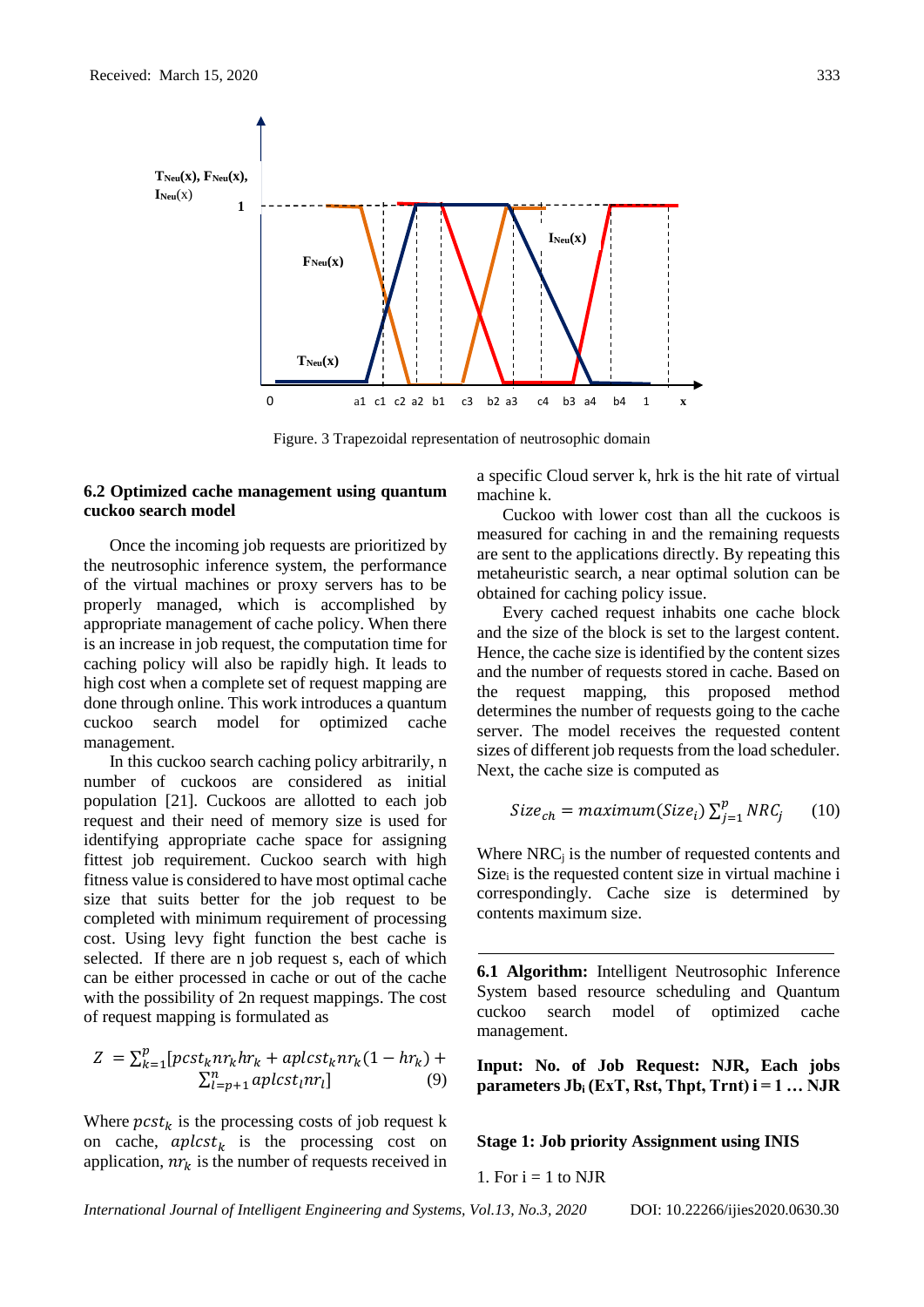

Figure. 3 Trapezoidal representation of neutrosophic domain

### **6.2 Optimized cache management using quantum cuckoo search model**

Once the incoming job requests are prioritized by the neutrosophic inference system, the performance of the virtual machines or proxy servers has to be properly managed, which is accomplished by appropriate management of cache policy. When there is an increase in job request, the computation time for caching policy will also be rapidly high. It leads to high cost when a complete set of request mapping are done through online. This work introduces a quantum cuckoo search model for optimized cache management.

In this cuckoo search caching policy arbitrarily, n number of cuckoos are considered as initial population [21]. Cuckoos are allotted to each job request and their need of memory size is used for identifying appropriate cache space for assigning fittest job requirement. Cuckoo search with high fitness value is considered to have most optimal cache size that suits better for the job request to be completed with minimum requirement of processing cost. Using levy fight function the best cache is selected. If there are n job request s, each of which can be either processed in cache or out of the cache with the possibility of 2n request mappings. The cost of request mapping is formulated as

$$
Z = \sum_{k=1}^{p} [post_k n r_k h r_k + a p l c s t_k n r_k (1 - h r_k) + \sum_{l=p+1}^{n} a p l c s t_l n r_l]
$$
(9)

Where  $\text{pcst}_k$  is the processing costs of job request k on cache,  $aplcst_k$  is the processing cost on application,  $nr_k$  is the number of requests received in a specific Cloud server k, hrk is the hit rate of virtual machine k.

Cuckoo with lower cost than all the cuckoos is measured for caching in and the remaining requests are sent to the applications directly. By repeating this metaheuristic search, a near optimal solution can be obtained for caching policy issue.

Every cached request inhabits one cache block and the size of the block is set to the largest content. Hence, the cache size is identified by the content sizes and the number of requests stored in cache. Based on the request mapping, this proposed method determines the number of requests going to the cache server. The model receives the requested content sizes of different job requests from the load scheduler. Next, the cache size is computed as

$$
Size_{ch} = maximum(Size_i) \sum_{j=1}^{p} NRC_j \qquad (10)
$$

Where  $NRC<sub>j</sub>$  is the number of requested contents and  $Size<sub>i</sub>$  is the requested content size in virtual machine i correspondingly. Cache size is determined by contents maximum size.

**6.1 Algorithm:** Intelligent Neutrosophic Inference System based resource scheduling and Quantum cuckoo search model of optimized cache management.

**Input: No. of Job Request: NJR, Each jobs parameters Jb**<sub>i</sub>  $(ExT, Rst, Thpt, Trnt)$ **i** = 1 ... NJR

**Stage 1: Job priority Assignment using INIS**

1. For  $i = 1$  to NJR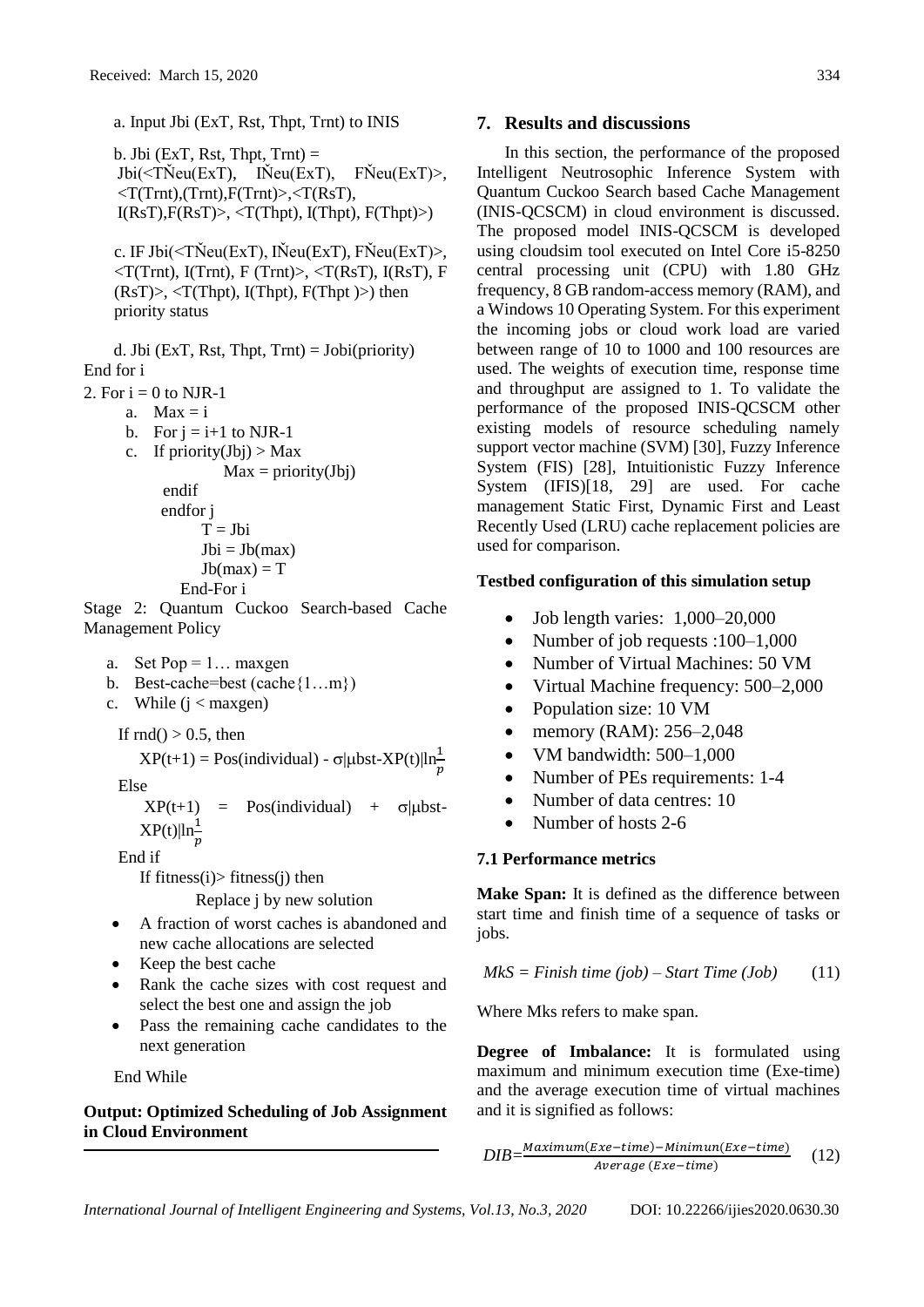a. Input Jbi (ExT, Rst, Thpt, Trnt) to INIS

b. Jbi ( $ExT$ , Rst, Thpt, Trnt) =  $Jbi(*T*Neu(ExT), \quad Nieu(ExT), \quad FNeu(ExT)$  $\langle T(Trnt), (Trnt), F(Trnt) \rangle, \langle T(RsT),$  $I(RsT), F(RsT) > 1$  (Thpt),  $I(Thpt), F(Thpt) > 0$ 

c. IF Jbi( $\leq$ TŇeu(ExT), IŇeu(ExT), FŇeu(ExT) $>$ ,  $\langle T(Trnt), I(Trnt), F(Trnt) \rangle, \langle T(RsT), I(RsT), F$  $(RsT)$ ,  $(Thpt)$ ,  $I(Thpt)$ ,  $F(Thpt)$ ) then priority status

d. Jbi (ExT, Rst, Thpt, Trnt) =  $Jobi(priority)$ End for i

2. For  $i = 0$  to NJR-1

a.  $Max = i$ 

- b. For  $j = i+1$  to NJR-1
- c. If  $\text{priority}(Jbj) > Max$
- $Max = priority(Jbj)$  endif endfor j  $T = Jbi$  $Jbi = Jb(max)$  $Jb(max) = T$ End-For i

Stage 2: Quantum Cuckoo Search-based Cache Management Policy

a. Set  $Pop = 1...$  maxgen

- b. Best-cache=best (cache{1…m})
- c. While  $(i <$  maxgen)

If  $\text{rnd}() > 0.5$ , then

 $XP(t+1) = Pos(individual) - \sigma|\mu bst-XP(t)|\ln\frac{1}{p}$ 

Else

 $XP(t+1)$  = Pos(individual) +  $\sigma$ |µbst- $XP(t)|\ln\frac{1}{p}$ 

End if

If fitness $(i)$ > fitness $(j)$  then

Replace j by new solution

- A fraction of worst caches is abandoned and new cache allocations are selected
- Keep the best cache
- Rank the cache sizes with cost request and select the best one and assign the job
- Pass the remaining cache candidates to the next generation

End While

**Output: Optimized Scheduling of Job Assignment in Cloud Environment**

In this section, the performance of the proposed Intelligent Neutrosophic Inference System with Quantum Cuckoo Search based Cache Management (INIS-QCSCM) in cloud environment is discussed. The proposed model INIS-QCSCM is developed using cloudsim tool executed on Intel Core i5-8250 central processing unit (CPU) with 1.80 GHz frequency, 8 GB random-access memory (RAM), and a Windows 10 Operating System. For this experiment the incoming jobs or cloud work load are varied between range of 10 to 1000 and 100 resources are used. The weights of execution time, response time and throughput are assigned to 1. To validate the performance of the proposed INIS-QCSCM other existing models of resource scheduling namely support vector machine (SVM) [30], Fuzzy Inference System (FIS) [28], Intuitionistic Fuzzy Inference System (IFIS)[18, 29] are used. For cache management Static First, Dynamic First and Least Recently Used (LRU) cache replacement policies are used for comparison.

# **Testbed configuration of this simulation setup**

- Job length varies: 1,000–20,000
- Number of job requests :100–1,000
- Number of Virtual Machines: 50 VM
- Virtual Machine frequency: 500–2,000
- Population size: 10 VM
- memory (RAM): 256–2,048
- VM bandwidth:  $500-1,000$
- Number of PEs requirements: 1-4
- Number of data centres: 10
- Number of hosts 2-6

# **7.1 Performance metrics**

**Make Span:** It is defined as the difference between start time and finish time of a sequence of tasks or jobs.

$$
MkS = \text{Finish time (job)} - \text{Start Time (Job)} \tag{11}
$$

Where Mks refers to make span.

**Degree of Imbalance:** It is formulated using maximum and minimum execution time (Exe-time) and the average execution time of virtual machines and it is signified as follows:

$$
DIB = \frac{Maximum(Exec-time) - Minimum(Exec-time)}{Average (Exec-time)}
$$
 (12)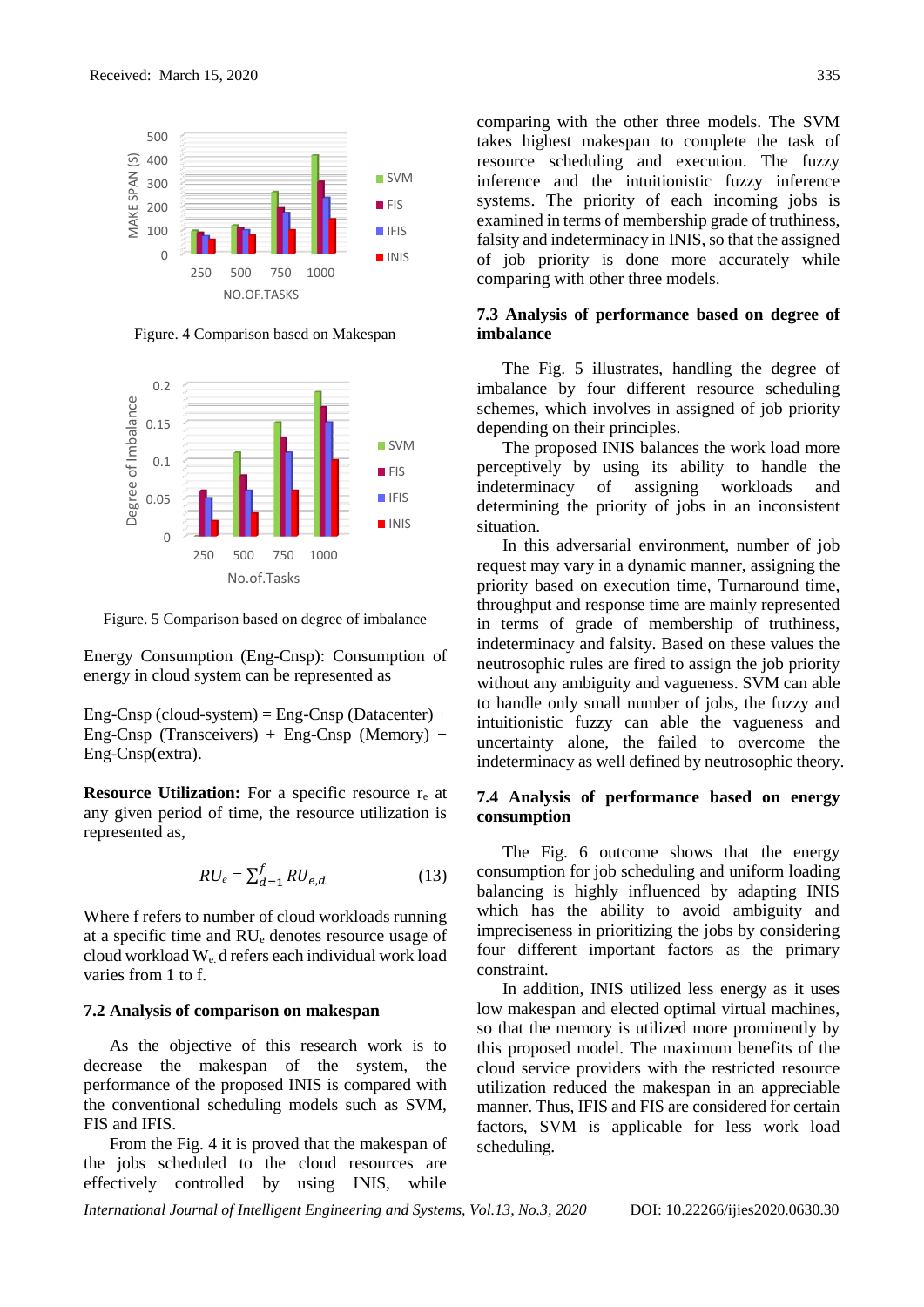

Figure. 4 Comparison based on Makespan



Figure. 5 Comparison based on degree of imbalance

Energy Consumption (Eng-Cnsp): Consumption of energy in cloud system can be represented as

Eng-Cnsp (cloud-system) = Eng-Cnsp (Datacenter) + Eng-Cnsp (Transceivers) + Eng-Cnsp (Memory) + Eng-Cnsp(extra).

**Resource Utilization:** For a specific resource r<sub>e</sub> at any given period of time, the resource utilization is represented as,

$$
RU_e = \sum_{d=1}^{f} RU_{e,d} \tag{13}
$$

Where f refers to number of cloud workloads running at a specific time and RU<sup>e</sup> denotes resource usage of cloud workload  $W_e$ , d refers each individual work load varies from 1 to f.

### **7.2 Analysis of comparison on makespan**

As the objective of this research work is to decrease the makespan of the system, the performance of the proposed INIS is compared with the conventional scheduling models such as SVM, FIS and IFIS.

From the Fig. 4 it is proved that the makespan of the jobs scheduled to the cloud resources are effectively controlled by using INIS, while

comparing with the other three models. The SVM takes highest makespan to complete the task of resource scheduling and execution. The fuzzy inference and the intuitionistic fuzzy inference systems. The priority of each incoming jobs is examined in terms of membership grade of truthiness, falsity and indeterminacy in INIS, so that the assigned of job priority is done more accurately while comparing with other three models.

## **7.3 Analysis of performance based on degree of imbalance**

The Fig. 5 illustrates, handling the degree of imbalance by four different resource scheduling schemes, which involves in assigned of job priority depending on their principles.

The proposed INIS balances the work load more perceptively by using its ability to handle the indeterminacy of assigning workloads and determining the priority of jobs in an inconsistent situation.

In this adversarial environment, number of job request may vary in a dynamic manner, assigning the priority based on execution time, Turnaround time, throughput and response time are mainly represented in terms of grade of membership of truthiness, indeterminacy and falsity. Based on these values the neutrosophic rules are fired to assign the job priority without any ambiguity and vagueness. SVM can able to handle only small number of jobs, the fuzzy and intuitionistic fuzzy can able the vagueness and uncertainty alone, the failed to overcome the indeterminacy as well defined by neutrosophic theory.

## **7.4 Analysis of performance based on energy consumption**

The Fig. 6 outcome shows that the energy consumption for job scheduling and uniform loading balancing is highly influenced by adapting INIS which has the ability to avoid ambiguity and impreciseness in prioritizing the jobs by considering four different important factors as the primary constraint.

In addition, INIS utilized less energy as it uses low makespan and elected optimal virtual machines, so that the memory is utilized more prominently by this proposed model. The maximum benefits of the cloud service providers with the restricted resource utilization reduced the makespan in an appreciable manner. Thus, IFIS and FIS are considered for certain factors, SVM is applicable for less work load scheduling.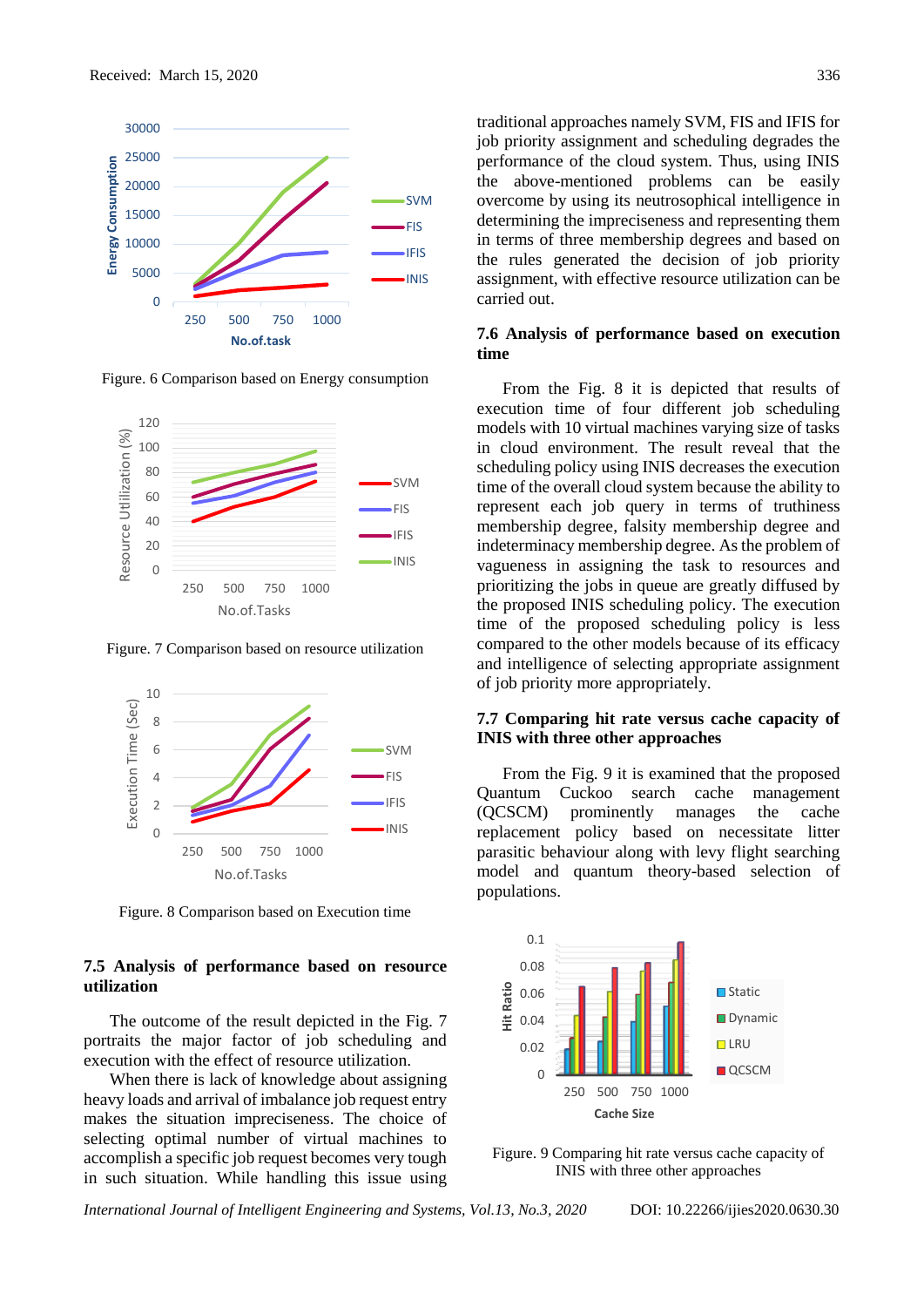

Figure. 6 Comparison based on Energy consumption



Figure. 7 Comparison based on resource utilization



Figure. 8 Comparison based on Execution time

## **7.5 Analysis of performance based on resource utilization**

The outcome of the result depicted in the Fig. 7 portraits the major factor of job scheduling and execution with the effect of resource utilization.

When there is lack of knowledge about assigning heavy loads and arrival of imbalance job request entry makes the situation impreciseness. The choice of selecting optimal number of virtual machines to accomplish a specific job request becomes very tough in such situation. While handling this issue using

traditional approaches namely SVM, FIS and IFIS for job priority assignment and scheduling degrades the performance of the cloud system. Thus, using INIS the above-mentioned problems can be easily overcome by using its neutrosophical intelligence in determining the impreciseness and representing them in terms of three membership degrees and based on the rules generated the decision of job priority assignment, with effective resource utilization can be carried out.

### **7.6 Analysis of performance based on execution time**

From the Fig. 8 it is depicted that results of execution time of four different job scheduling models with 10 virtual machines varying size of tasks in cloud environment. The result reveal that the scheduling policy using INIS decreases the execution time of the overall cloud system because the ability to represent each job query in terms of truthiness membership degree, falsity membership degree and indeterminacy membership degree. As the problem of vagueness in assigning the task to resources and prioritizing the jobs in queue are greatly diffused by the proposed INIS scheduling policy. The execution time of the proposed scheduling policy is less compared to the other models because of its efficacy and intelligence of selecting appropriate assignment of job priority more appropriately.

## **7.7 Comparing hit rate versus cache capacity of INIS with three other approaches**

From the Fig. 9 it is examined that the proposed Quantum Cuckoo search cache management (QCSCM) prominently manages the cache replacement policy based on necessitate litter parasitic behaviour along with levy flight searching model and quantum theory-based selection of populations.



Figure. 9 Comparing hit rate versus cache capacity of INIS with three other approaches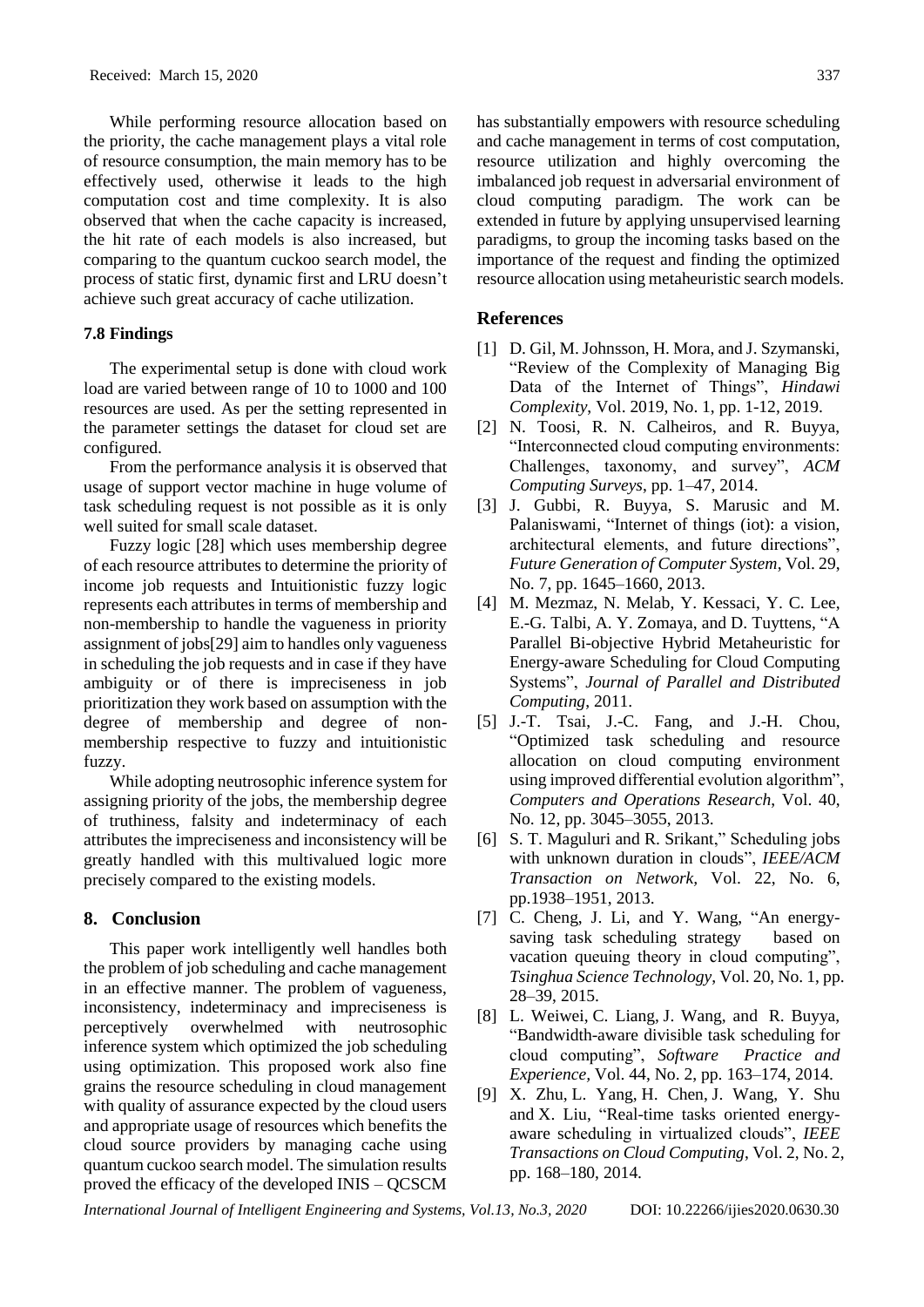While performing resource allocation based on the priority, the cache management plays a vital role of resource consumption, the main memory has to be effectively used, otherwise it leads to the high computation cost and time complexity. It is also observed that when the cache capacity is increased, the hit rate of each models is also increased, but comparing to the quantum cuckoo search model, the process of static first, dynamic first and LRU doesn't achieve such great accuracy of cache utilization.

## **7.8 Findings**

The experimental setup is done with cloud work load are varied between range of 10 to 1000 and 100 resources are used. As per the setting represented in the parameter settings the dataset for cloud set are configured.

From the performance analysis it is observed that usage of support vector machine in huge volume of task scheduling request is not possible as it is only well suited for small scale dataset.

Fuzzy logic [28] which uses membership degree of each resource attributes to determine the priority of income job requests and Intuitionistic fuzzy logic represents each attributes in terms of membership and non-membership to handle the vagueness in priority assignment of jobs[29] aim to handles only vagueness in scheduling the job requests and in case if they have ambiguity or of there is impreciseness in job prioritization they work based on assumption with the degree of membership and degree of nonmembership respective to fuzzy and intuitionistic fuzzy.

While adopting neutrosophic inference system for assigning priority of the jobs, the membership degree of truthiness, falsity and indeterminacy of each attributes the impreciseness and inconsistency will be greatly handled with this multivalued logic more precisely compared to the existing models.

#### **8. Conclusion**

This paper work intelligently well handles both the problem of job scheduling and cache management in an effective manner. The problem of vagueness, inconsistency, indeterminacy and impreciseness is perceptively overwhelmed with neutrosophic inference system which optimized the job scheduling using optimization. This proposed work also fine grains the resource scheduling in cloud management with quality of assurance expected by the cloud users and appropriate usage of resources which benefits the cloud source providers by managing cache using quantum cuckoo search model. The simulation results proved the efficacy of the developed INIS – QCSCM

has substantially empowers with resource scheduling and cache management in terms of cost computation, resource utilization and highly overcoming the imbalanced job request in adversarial environment of cloud computing paradigm. The work can be extended in future by applying unsupervised learning paradigms, to group the incoming tasks based on the importance of the request and finding the optimized resource allocation using metaheuristic search models.

## **References**

- [1] D. Gil, M. Johnsson, H. Mora, and J. Szymanski, "Review of the Complexity of Managing Big Data of the Internet of Things", *Hindawi Complexity*, Vol. 2019, No. 1, pp. 1-12, 2019.
- [2] N. Toosi, R. N. Calheiros, and R. Buyya, "Interconnected cloud computing environments: Challenges, taxonomy, and survey", *ACM Computing Surveys*, pp. 1–47, 2014.
- [3] J. Gubbi, R. Buyya, S. Marusic and M. Palaniswami, "Internet of things (iot): a vision, architectural elements, and future directions", *Future Generation of Computer System*, Vol. 29, No. 7, pp. 1645–1660, 2013.
- [4] M. Mezmaz, N. Melab, Y. Kessaci, Y. C. Lee, E.-G. Talbi, A. Y. Zomaya, and D. Tuyttens, "A Parallel Bi-objective Hybrid Metaheuristic for Energy-aware Scheduling for Cloud Computing Systems", *Journal of Parallel and Distributed Computing*, 2011.
- [5] J.-T. Tsai, J.-C. Fang, and J.-H. Chou, "Optimized task scheduling and resource allocation on cloud computing environment using improved differential evolution algorithm", *Computers and Operations Research*, Vol. 40, No. 12, pp. 3045–3055, 2013.
- [6] S. T. Maguluri and R. Srikant," Scheduling jobs with unknown duration in clouds", *IEEE/ACM Transaction on Network,* Vol. 22, No. 6, pp.1938–1951, 2013.
- [7] C. Cheng, J. Li, and Y. Wang, "An energysaving task scheduling strategy based on vacation queuing theory in cloud computing", *Tsinghua Science Technology*, Vol. 20, No. 1, pp. 28–39, 2015.
- [8] L. [Weiwei,](https://onlinelibrary.wiley.com/action/doSearch?ContribAuthorStored=Lin%2C+Weiwei) C. [Liang,](https://onlinelibrary.wiley.com/action/doSearch?ContribAuthorStored=Liang%2C+Chen) J. [Wang,](https://onlinelibrary.wiley.com/action/doSearch?ContribAuthorStored=Wang%2C+James+Z) and R. [Buyya,](https://onlinelibrary.wiley.com/action/doSearch?ContribAuthorStored=Buyya%2C+Rajkumar) "Bandwidth-aware divisible task scheduling for cloud computing", *Software Practice and Experience,* Vol. 44, No. 2, pp. 163–174, 2014.
- [9] [X. Zhu,](https://www.semanticscholar.org/author/Xiaomin-Zhu/1726302) [L. Yang,](https://www.semanticscholar.org/author/Laurence-Tianruo-Yang/1690341) H. [Chen,](https://www.semanticscholar.org/author/Huangke-Chen/2382347) J. [Wang,](https://www.semanticscholar.org/author/Ji-Wang/97773424) Y. Shu and [X.](https://www.semanticscholar.org/author/Xiaocheng-Liu/48031774) Liu, "Real-time tasks oriented energyaware scheduling in virtualized clouds", *IEEE Transactions on Cloud Computing*, Vol. 2, No. 2, pp. 168–180, 2014.